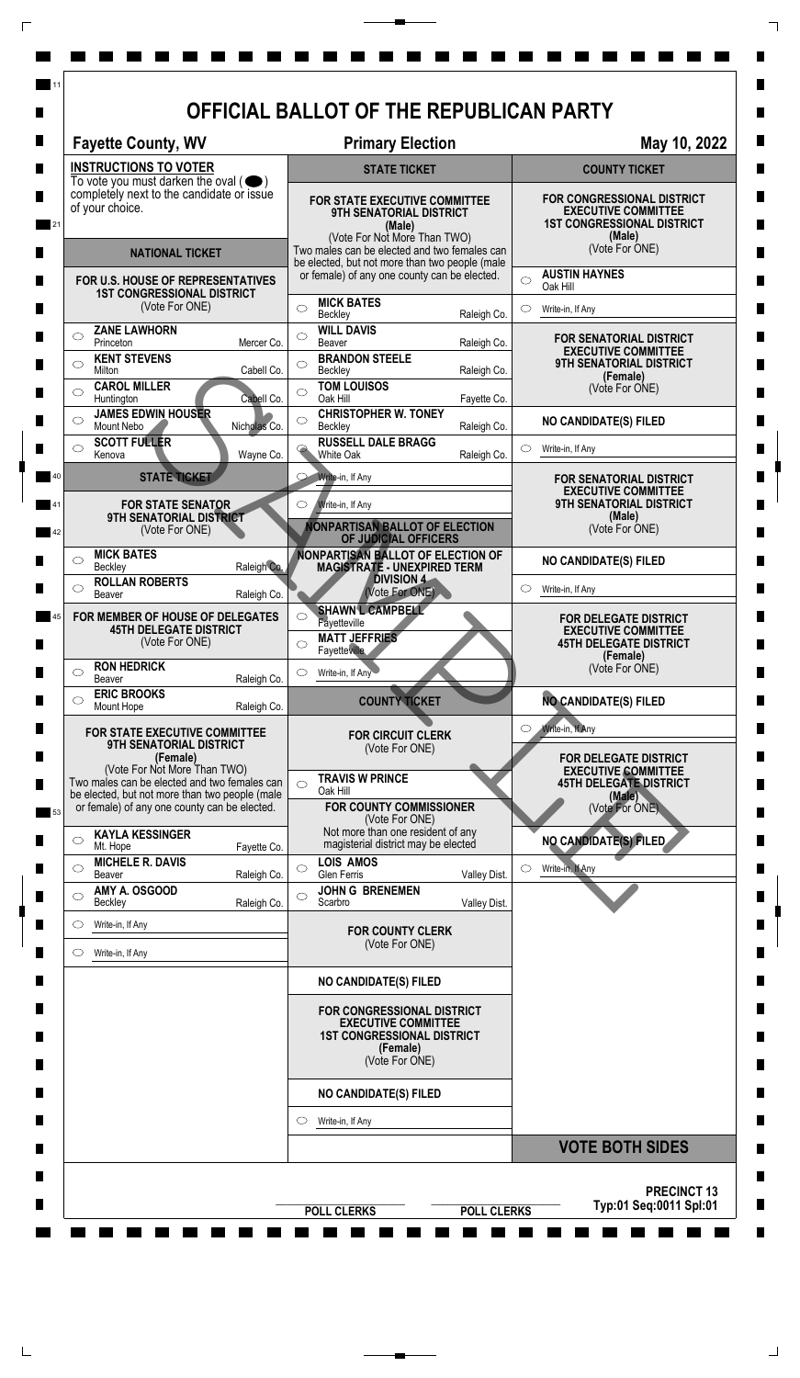| <b>Fayette County, WV</b>                                                                                                                                                      |              | <b>Primary Election</b>                                                                                                                                             |              | May 10, 2022                                                                                            |  |
|--------------------------------------------------------------------------------------------------------------------------------------------------------------------------------|--------------|---------------------------------------------------------------------------------------------------------------------------------------------------------------------|--------------|---------------------------------------------------------------------------------------------------------|--|
| <b>INSTRUCTIONS TO VOTER</b><br>To vote you must darken the oval $($<br>completely next to the candidate or issue<br>of your choice.                                           |              | <b>STATE TICKET</b>                                                                                                                                                 |              | <b>COUNTY TICKET</b>                                                                                    |  |
|                                                                                                                                                                                |              | <b>FOR STATE EXECUTIVE COMMITTEE</b><br>9TH SENATORIAL DISTRICT<br>(Male)<br>(Vote For Not More Than TWO)                                                           |              | FOR CONGRESSIONAL DISTRICT<br><b>EXECUTIVE COMMITTEE</b><br><b>1ST CONGRESSIONAL DISTRICT</b><br>(Male) |  |
| <b>NATIONAL TICKET</b><br>FOR U.S. HOUSE OF REPRESENTATIVES<br><b>1ST CONGRESSIONAL DISTRICT</b>                                                                               |              | Two males can be elected and two females can<br>be elected, but not more than two people (male<br>or female) of any one county can be elected.<br><b>MICK BATES</b> |              | (Vote For ONE)<br><b>AUSTIN HAYNES</b>                                                                  |  |
|                                                                                                                                                                                |              |                                                                                                                                                                     |              | $\bigcirc$<br>Oak Hill                                                                                  |  |
| (Vote For ONE)<br><b>ZANE LAWHORN</b>                                                                                                                                          |              | $\circ$<br>Beckley<br><b>WILL DAVIS</b>                                                                                                                             | Raleigh Co.  | Write-in, If Any<br>O                                                                                   |  |
| $\circlearrowright$<br>Princeton<br><b>KENT STEVENS</b>                                                                                                                        | Mercer Co.   | $\circ$<br><b>Beaver</b><br><b>BRANDON STEELE</b>                                                                                                                   | Raleigh Co.  | <b>FOR SENATORIAL DISTRICT</b><br><b>EXECUTIVE COMMITTEE</b>                                            |  |
| $\circ$<br><b>Milton</b><br><b>CAROL MILLER</b>                                                                                                                                | Cabell Co.   | $\bigcirc$<br>Beckley<br><b>TOM LOUISOS</b>                                                                                                                         | Raleigh Co.  | <b>9TH SENATORIAL DISTRICT</b><br>(Female)<br>(Vote For ONE)                                            |  |
| $\bigcirc$<br>Huntington<br><b>JAMES EDWIN HOUSER</b>                                                                                                                          | Cabell Co.   | $\bigcirc$<br>Oak Hill<br><b>CHRISTOPHER W. TONEY</b>                                                                                                               | Fayette Co.  |                                                                                                         |  |
| ◯<br>Mount Nebo<br><b>SCOTT FULLER</b>                                                                                                                                         | Nicholas Co. | ◯<br>Beckley<br><b>RUSSELL DALE BRAGG</b>                                                                                                                           | Raleigh Co.  | <b>NO CANDIDATE(S) FILED</b>                                                                            |  |
| ◯<br>Kenova<br><b>STATE TICKET</b>                                                                                                                                             | Wayne Co.    | $\ominus$<br><b>White Oak</b><br>Write-in, If Any<br>O                                                                                                              | Raleigh Co.  | $\circlearrowright$<br>Write-in, If Any                                                                 |  |
|                                                                                                                                                                                |              | $\circlearrowright$<br>Write-in, If Any                                                                                                                             |              | FOR SENATORIAL DISTRICT<br><b>EXECUTIVE COMMITTEE</b><br><b>9TH SENATORIAL DISTRICT</b>                 |  |
| <b>FOR STATE SENATOR</b><br>9TH SENATORIAL DISTRICT<br>(Vote For ONE)                                                                                                          |              | (Male)<br><b>VONPARTISAN BALLOT OF ELECTION</b>                                                                                                                     |              | (Vote For ONE)                                                                                          |  |
| <b>MICK BATES</b><br>◯<br>Beckley                                                                                                                                              | Raleigh Co.  | OF JUDICIAL OFFICERS<br>NONPARTISAN BALLOT OF ELECTION OF<br><b>MAGISTRATE - UNEXPIRED TERM</b>                                                                     |              | <b>NO CANDIDATE(S) FILED</b>                                                                            |  |
| <b>ROLLAN ROBERTS</b><br>O<br>Beaver                                                                                                                                           | Raleigh Co.  | <b>DIVISION 4</b><br>(Vote For ONE)                                                                                                                                 |              | Write-in, If Any<br>$\circ$                                                                             |  |
| FOR MEMBER OF HOUSE OF DELEGATES<br><b>45TH DELEGATE DISTRICT</b><br>(Vote For ONE)                                                                                            |              | <b>SHAWN L CAMPBELL</b><br>◯<br>Fayetteville<br><b>MATT JEFFRIES</b><br>$\circ$<br>Fayetteville                                                                     |              | <b>FOR DELEGATE DISTRICT</b><br><b>EXECUTIVE COMMITTEE</b><br><b>45TH DELEGATE DISTRICT</b>             |  |
| <b>RON HEDRICK</b><br>◯<br>Beaver                                                                                                                                              | Raleigh Co.  | Write-in, If Any<br>O                                                                                                                                               |              | (Female)<br>(Vote For ONE)                                                                              |  |
| <b>ERIC BROOKS</b><br>$\circlearrowright$<br>Mount Hope                                                                                                                        | Raleigh Co.  | <b>COUNTY TICKET</b>                                                                                                                                                |              | <b>NO CANDIDATE(S) FILED</b>                                                                            |  |
| FOR STATE EXECUTIVE COMMITTEE<br>9TH SENATORIAL DISTRICT<br>(Female)                                                                                                           |              | <b>FOR CIRCUIT CLERK</b><br>(Vote For ONE)                                                                                                                          |              | Write-in, If Any<br>$\circ$<br>FOR DELEGATE DISTRICT                                                    |  |
| (Vote For Not More Than TWO)<br>Two males can be elected and two females can<br>be elected, but not more than two people (male<br>or female) of any one county can be elected. |              | <b>TRAVIS W PRINCE</b><br>$\bigcirc$<br>Oak Hill<br><b>FOR COUNTY COMMISSIONER</b>                                                                                  |              | <b>EXECUTIVE COMMITTEE</b><br><b>45TH DELEGATE DISTRICT</b><br>(Male)<br>(Vote For ONE)                 |  |
| <b>KAYLA KESSINGER</b><br>$\circlearrowright$                                                                                                                                  |              | (Vote For ONE)<br>Not more than one resident of any                                                                                                                 |              | <b>NO CANDIDATE(S) FILED</b>                                                                            |  |
| Mt. Hope<br><b>MICHELE R. DAVIS</b><br>O                                                                                                                                       | Fayette Co.  | magisterial district may be elected<br><b>LOIS AMOS</b><br>$\circ$                                                                                                  |              | Write-in, If Any<br>$\circ$                                                                             |  |
| Beaver<br>AMY A. OSGOOD<br>$\circlearrowright$                                                                                                                                 | Raleigh Co.  | Glen Ferris<br><b>JOHN G BRENEMEN</b><br>$\circ$                                                                                                                    | Valley Dist. |                                                                                                         |  |
| Beckley<br>Write-in, If Any<br>O                                                                                                                                               | Raleigh Co.  | Scarbro                                                                                                                                                             | Valley Dist. |                                                                                                         |  |
| Write-in, If Any<br>O                                                                                                                                                          |              | <b>FOR COUNTY CLERK</b><br>(Vote For ONE)                                                                                                                           |              |                                                                                                         |  |
|                                                                                                                                                                                |              | <b>NO CANDIDATE(S) FILED</b>                                                                                                                                        |              |                                                                                                         |  |
|                                                                                                                                                                                |              | FOR CONGRESSIONAL DISTRICT<br><b>EXECUTIVE COMMITTEE</b><br><b>1ST CONGRESSIONAL DISTRICT</b><br>(Female)<br>(Vote For ONE)                                         |              |                                                                                                         |  |
|                                                                                                                                                                                |              | <b>NO CANDIDATE(S) FILED</b>                                                                                                                                        |              |                                                                                                         |  |
|                                                                                                                                                                                |              | Write-in, If Any<br>O                                                                                                                                               |              |                                                                                                         |  |
|                                                                                                                                                                                |              |                                                                                                                                                                     |              | <b>VOTE BOTH SIDES</b>                                                                                  |  |

 $\overline{\Gamma}$ 

 $\top$